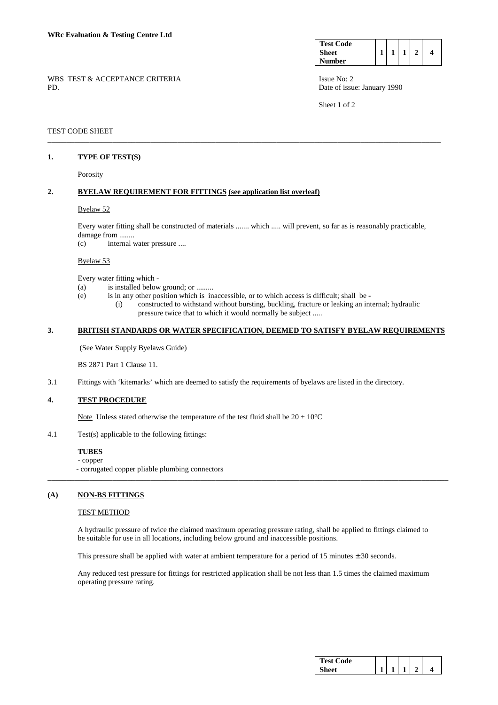| <b>Test Code</b> |  |  |  |
|------------------|--|--|--|
| <b>Sheet</b>     |  |  |  |
| <b>Number</b>    |  |  |  |

Sheet 1 of 2

WBS TEST & ACCEPTANCE CRITERIA ISSUE No: 2 PD. Date of issue: January 1990

### TEST CODE SHEET

### **1. TYPE OF TEST(S)**

Porosity

# **2. BYELAW REQUIREMENT FOR FITTINGS (see application list overleaf)**

#### Byelaw 52

 Every water fitting shall be constructed of materials ....... which ..... will prevent, so far as is reasonably practicable, damage from ........

\_\_\_\_\_\_\_\_\_\_\_\_\_\_\_\_\_\_\_\_\_\_\_\_\_\_\_\_\_\_\_\_\_\_\_\_\_\_\_\_\_\_\_\_\_\_\_\_\_\_\_\_\_\_\_\_\_\_\_\_\_\_\_\_\_\_\_\_\_\_\_\_\_\_\_\_\_\_\_\_\_\_\_\_\_\_\_\_\_\_\_\_\_\_\_\_\_\_\_\_\_\_\_

(c) internal water pressure ....

#### Byelaw 53

Every water fitting which -

- (a) is installed below ground; or .........
- (e) is in any other position which is inaccessible, or to which access is difficult; shall be
	- (i) constructed to withstand without bursting, buckling, fracture or leaking an internal; hydraulic pressure twice that to which it would normally be subject .....

#### **3. BRITISH STANDARDS OR WATER SPECIFICATION, DEEMED TO SATISFY BYELAW REQUIREMENTS**

(See Water Supply Byelaws Guide)

BS 2871 Part 1 Clause 11.

3.1 Fittings with 'kitemarks' which are deemed to satisfy the requirements of byelaws are listed in the directory.

# **4. TEST PROCEDURE**

Note Unless stated otherwise the temperature of the test fluid shall be  $20 \pm 10^{\circ}$ C

4.1 Test(s) applicable to the following fittings:

# **TUBES**

 - copper - corrugated copper pliable plumbing connectors

### **(A) NON-BS FITTINGS**

### TEST METHOD

 A hydraulic pressure of twice the claimed maximum operating pressure rating, shall be applied to fittings claimed to be suitable for use in all locations, including below ground and inaccessible positions.

\_\_\_\_\_\_\_\_\_\_\_\_\_\_\_\_\_\_\_\_\_\_\_\_\_\_\_\_\_\_\_\_\_\_\_\_\_\_\_\_\_\_\_\_\_\_\_\_\_\_\_\_\_\_\_\_\_\_\_\_\_\_\_\_\_\_\_\_\_\_\_\_\_\_\_\_\_\_\_\_\_\_\_\_\_\_\_\_\_\_\_\_\_\_\_\_\_\_\_\_\_\_\_\_\_

This pressure shall be applied with water at ambient temperature for a period of 15 minutes  $\pm$  30 seconds.

 Any reduced test pressure for fittings for restricted application shall be not less than 1.5 times the claimed maximum operating pressure rating.

| Test \<br>'ode |  |  |  |
|----------------|--|--|--|
|                |  |  |  |